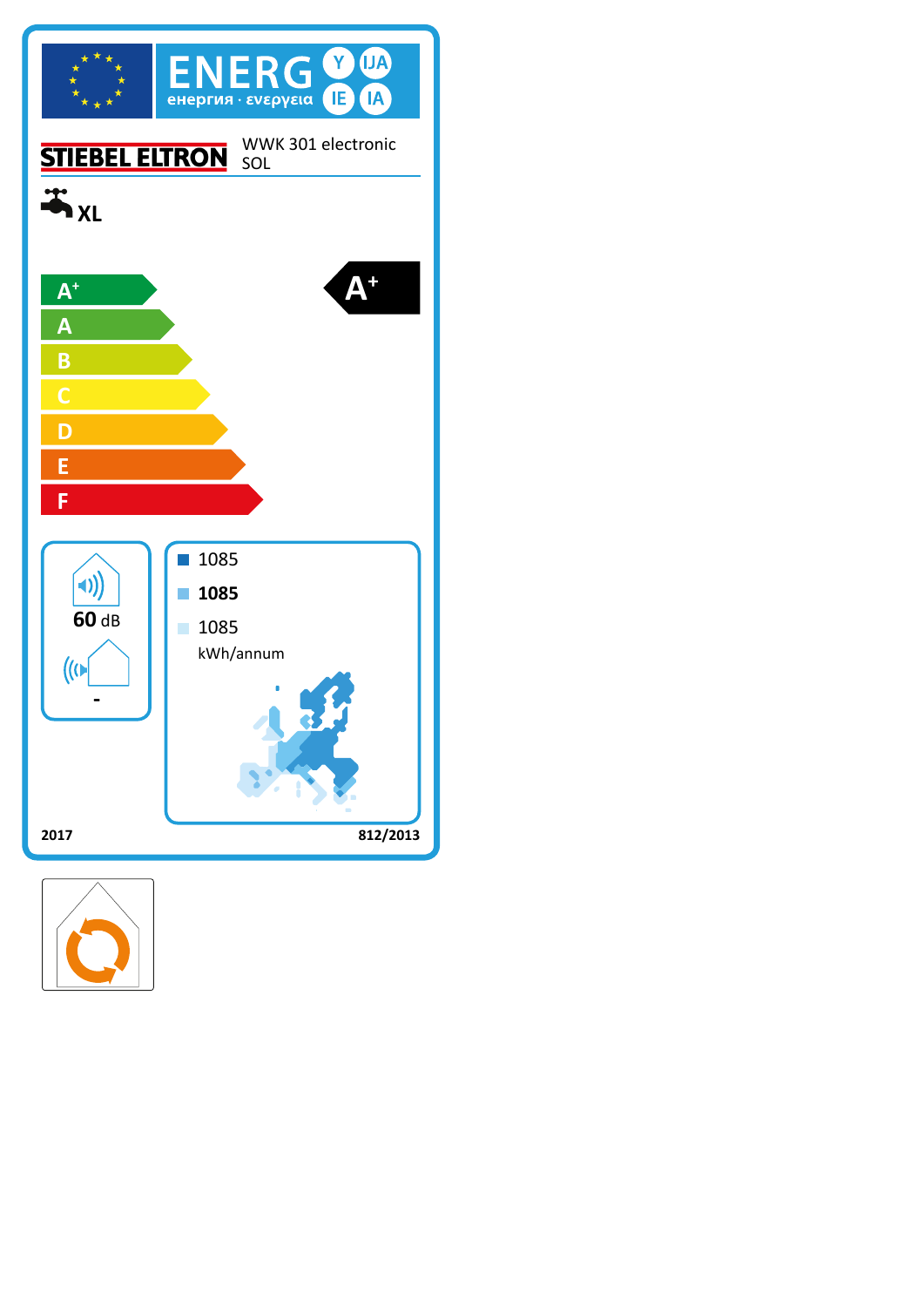